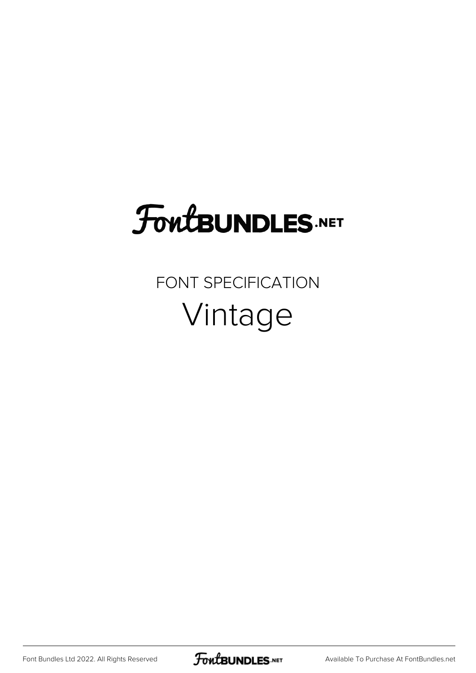# FoutBUNDLES.NET

### FONT SPECIFICATION Vintage

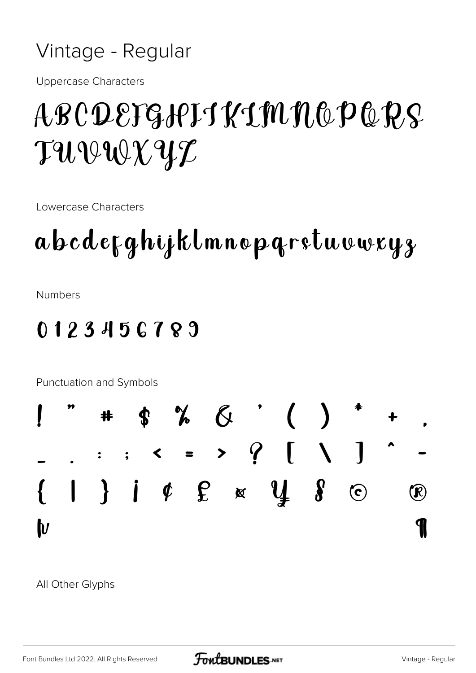#### Vintage - Regular

**Uppercase Characters** 

## ABCDEFGIPITKIMMOPQPS TUVWXYZ

Lowercase Characters

### abcdefghijklmnopgrstuvwxyz

**Numbers** 

#### 0123456789



All Other Glyphs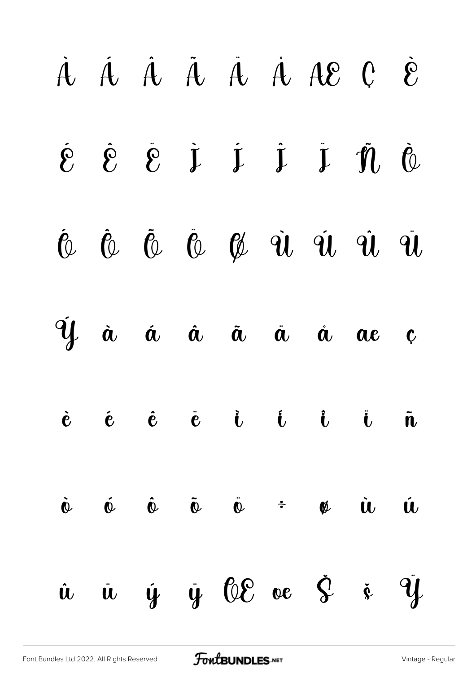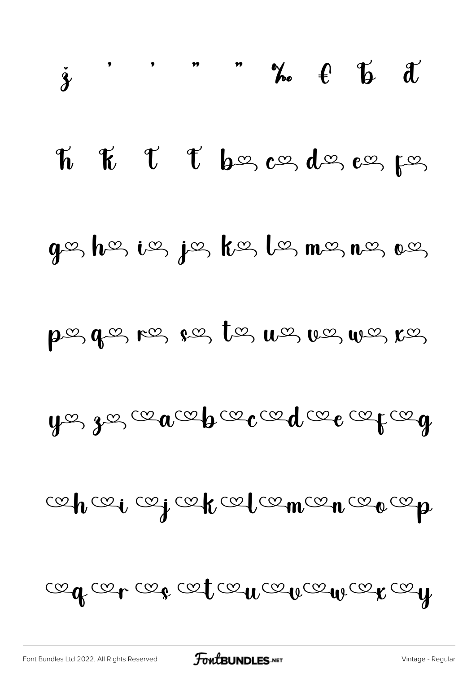$$
\mathcal{A}_{\mathcal{A}}\mathcal{A}_{\mathcal{A}}\mathcal{A}_{\mathcal{A}}\mathcal{A}_{\mathcal{A}}\mathcal{A}_{\mathcal{A}}\mathcal{A}_{\mathcal{A}}\mathcal{A}_{\mathcal{A}}\mathcal{A}_{\mathcal{A}}
$$

cepcei cej cepcel cemcen ceo cep

 $y$ g gg ce a ce b ce ce d ce o ce ce q

posqos, ros pos tos uos uos uos ros

 $g$ ez hez iez jez kez lez mez nez oez

T t bez as des es pos  $\kappa$  $\boldsymbol{\mathcal{T}}$ 

 $\dot{\gamma}$  , , , , ,  $\gamma_o$  ( ) if  $\alpha$